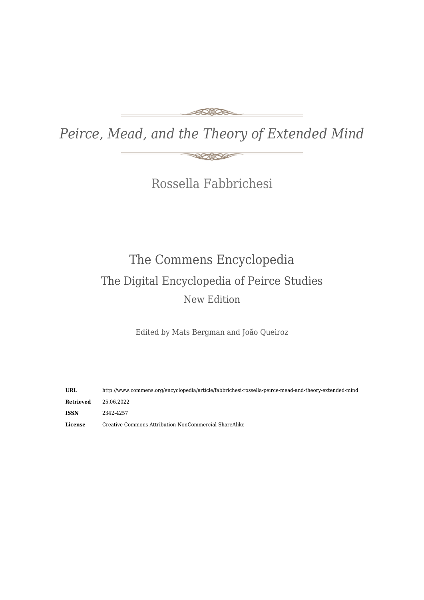#### FONDS

*Peirce, Mead, and the Theory of Extended Mind*

**ROMOS** 

Rossella Fabbrichesi

# The Commens Encyclopedia The Digital Encyclopedia of Peirce Studies New Edition

Edited by Mats Bergman and João Queiroz

**URL** http://www.commens.org/encyclopedia/article/fabbrichesi-rossella-peirce-mead-and-theory-extended-mind **Retrieved** 25.06.2022 **ISSN** 2342-4257 **License** Creative Commons Attribution-NonCommercial-ShareAlike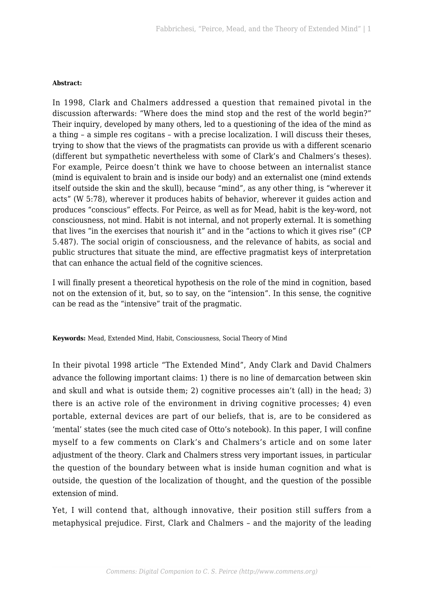#### **Abstract:**

In 1998, Clark and Chalmers addressed a question that remained pivotal in the discussion afterwards: "Where does the mind stop and the rest of the world begin?" Their inquiry, developed by many others, led to a questioning of the idea of the mind as a thing – a simple res cogitans – with a precise localization. I will discuss their theses, trying to show that the views of the pragmatists can provide us with a different scenario (different but sympathetic nevertheless with some of Clark's and Chalmers's theses). For example, Peirce doesn't think we have to choose between an internalist stance (mind is equivalent to brain and is inside our body) and an externalist one (mind extends itself outside the skin and the skull), because "mind", as any other thing, is "wherever it acts" (W 5:78), wherever it produces habits of behavior, wherever it guides action and produces "conscious" effects. For Peirce, as well as for Mead, habit is the key-word, not consciousness, not mind. Habit is not internal, and not properly external. It is something that lives "in the exercises that nourish it" and in the "actions to which it gives rise" (CP 5.487). The social origin of consciousness, and the relevance of habits, as social and public structures that situate the mind, are effective pragmatist keys of interpretation that can enhance the actual field of the cognitive sciences.

I will finally present a theoretical hypothesis on the role of the mind in cognition, based not on the extension of it, but, so to say, on the "intension". In this sense, the cognitive can be read as the "intensive" trait of the pragmatic.

**Keywords:** Mead, Extended Mind, Habit, Consciousness, Social Theory of Mind

In their pivotal 1998 article "The Extended Mind", Andy Clark and David Chalmers advance the following important claims: 1) there is no line of demarcation between skin and skull and what is outside them; 2) cognitive processes ain't (all) in the head; 3) there is an active role of the environment in driving cognitive processes; 4) even portable, external devices are part of our beliefs, that is, are to be considered as 'mental' states (see the much cited case of Otto's notebook). In this paper, I will confine myself to a few comments on Clark's and Chalmers's article and on some later adjustment of the theory. Clark and Chalmers stress very important issues, in particular the question of the boundary between what is inside human cognition and what is outside, the question of the localization of thought, and the question of the possible extension of mind.

Yet, I will contend that, although innovative, their position still suffers from a metaphysical prejudice. First, Clark and Chalmers – and the majority of the leading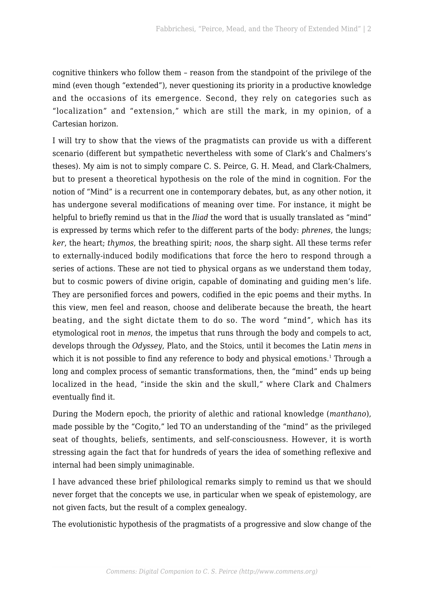cognitive thinkers who follow them – reason from the standpoint of the privilege of the mind (even though "extended"), never questioning its priority in a productive knowledge and the occasions of its emergence. Second, they rely on categories such as "localization" and "extension," which are still the mark, in my opinion, of a Cartesian horizon.

I will try to show that the views of the pragmatists can provide us with a different scenario (different but sympathetic nevertheless with some of Clark's and Chalmers's theses). My aim is not to simply compare C. S. Peirce, G. H. Mead, and Clark-Chalmers, but to present a theoretical hypothesis on the role of the mind in cognition. For the notion of "Mind" is a recurrent one in contemporary debates, but, as any other notion, it has undergone several modifications of meaning over time. For instance, it might be helpful to briefly remind us that in the *Iliad* the word that is usually translated as "mind" is expressed by terms which refer to the different parts of the body: *phrenes*, the lungs; *ker*, the heart; *thymos*, the breathing spirit; *noos*, the sharp sight. All these terms refer to externally-induced bodily modifications that force the hero to respond through a series of actions. These are not tied to physical organs as we understand them today, but to cosmic powers of divine origin, capable of dominating and guiding men's life. They are personified forces and powers, codified in the epic poems and their myths. In this view, men feel and reason, choose and deliberate because the breath, the heart beating, and the sight dictate them to do so. The word "mind", which has its etymological root in *menos*, the impetus that runs through the body and compels to act, develops through the *Odyssey*, Plato, and the Stoics, until it becomes the Latin *mens* in which it is not possible to find any reference to body and physical emotions.<sup>[1](#page--1-0)</sup> Through a long and complex process of semantic transformations, then, the "mind" ends up being localized in the head, "inside the skin and the skull," where Clark and Chalmers eventually find it.

During the Modern epoch, the priority of alethic and rational knowledge (*manthano*), made possible by the "Cogito," led TO an understanding of the "mind" as the privileged seat of thoughts, beliefs, sentiments, and self-consciousness. However, it is worth stressing again the fact that for hundreds of years the idea of something reflexive and internal had been simply unimaginable.

I have advanced these brief philological remarks simply to remind us that we should never forget that the concepts we use, in particular when we speak of epistemology, are not given facts, but the result of a complex genealogy.

The evolutionistic hypothesis of the pragmatists of a progressive and slow change of the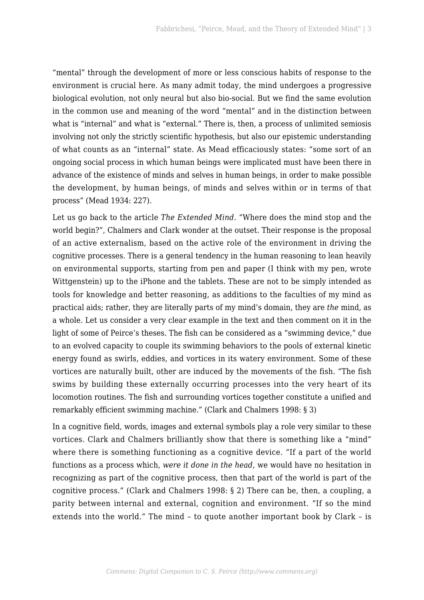"mental" through the development of more or less conscious habits of response to the environment is crucial here. As many admit today, the mind undergoes a progressive biological evolution, not only neural but also bio-social. But we find the same evolution in the common use and meaning of the word "mental" and in the distinction between what is "internal" and what is "external." There is, then, a process of unlimited semiosis involving not only the strictly scientific hypothesis, but also our epistemic understanding of what counts as an "internal" state. As Mead efficaciously states: "some sort of an ongoing social process in which human beings were implicated must have been there in advance of the existence of minds and selves in human beings, in order to make possible the development, by human beings, of minds and selves within or in terms of that process" (Mead 1934: 227).

Let us go back to the article *The Extended Mind.* "Where does the mind stop and the world begin?", Chalmers and Clark wonder at the outset. Their response is the proposal of an active externalism, based on the active role of the environment in driving the cognitive processes. There is a general tendency in the human reasoning to lean heavily on environmental supports, starting from pen and paper (I think with my pen, wrote Wittgenstein) up to the iPhone and the tablets. These are not to be simply intended as tools for knowledge and better reasoning, as additions to the faculties of my mind as practical aids; rather, they are literally parts of my mind's domain, they are *the* mind, as a whole. Let us consider a very clear example in the text and then comment on it in the light of some of Peirce's theses. The fish can be considered as a "swimming device," due to an evolved capacity to couple its swimming behaviors to the pools of external kinetic energy found as swirls, eddies, and vortices in its watery environment. Some of these vortices are naturally built, other are induced by the movements of the fish. "The fish swims by building these externally occurring processes into the very heart of its locomotion routines. The fish and surrounding vortices together constitute a unified and remarkably efficient swimming machine." (Clark and Chalmers 1998: § 3)

In a cognitive field, words, images and external symbols play a role very similar to these vortices. Clark and Chalmers brilliantly show that there is something like a "mind" where there is something functioning as a cognitive device. "If a part of the world functions as a process which, *were it done in the head*, we would have no hesitation in recognizing as part of the cognitive process, then that part of the world is part of the cognitive process." (Clark and Chalmers 1998: § 2) There can be, then, a coupling, a parity between internal and external, cognition and environment. "If so the mind extends into the world." The mind – to quote another important book by Clark – is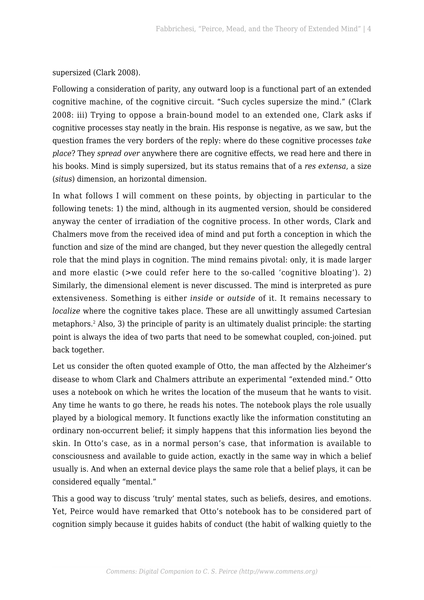supersized (Clark 2008).

Following a consideration of parity, any outward loop is a functional part of an extended cognitive machine, of the cognitive circuit. "Such cycles supersize the mind." (Clark 2008: iii) Trying to oppose a brain-bound model to an extended one, Clark asks if cognitive processes stay neatly in the brain. His response is negative, as we saw, but the question frames the very borders of the reply: where do these cognitive processes *take place*? They *spread over* anywhere there are cognitive effects, we read here and there in his books. Mind is simply supersized, but its status remains that of a *res extensa*, a size (*situs*) dimension, an horizontal dimension.

In what follows I will comment on these points, by objecting in particular to the following tenets: 1) the mind, although in its augmented version, should be considered anyway the center of irradiation of the cognitive process. In other words, Clark and Chalmers move from the received idea of mind and put forth a conception in which the function and size of the mind are changed, but they never question the allegedly central role that the mind plays in cognition. The mind remains pivotal: only, it is made larger and more elastic (>we could refer here to the so-called 'cognitive bloating'). 2) Similarly, the dimensional element is never discussed. The mind is interpreted as pure extensiveness. Something is either *inside* or *outside* of it. It remains necessary to *localize* where the cognitive takes place. These are all unwittingly assumed Cartesian metaphors.[2](#page--1-0) Also, 3) the principle of parity is an ultimately dualist principle: the starting point is always the idea of two parts that need to be somewhat coupled, con-joined. put back together.

Let us consider the often quoted example of Otto, the man affected by the Alzheimer's disease to whom Clark and Chalmers attribute an experimental "extended mind." Otto uses a notebook on which he writes the location of the museum that he wants to visit. Any time he wants to go there, he reads his notes. The notebook plays the role usually played by a biological memory. It functions exactly like the information constituting an ordinary non-occurrent belief; it simply happens that this information lies beyond the skin. In Otto's case, as in a normal person's case, that information is available to consciousness and available to guide action, exactly in the same way in which a belief usually is. And when an external device plays the same role that a belief plays, it can be considered equally "mental."

This a good way to discuss 'truly' mental states, such as beliefs, desires, and emotions. Yet, Peirce would have remarked that Otto's notebook has to be considered part of cognition simply because it guides habits of conduct (the habit of walking quietly to the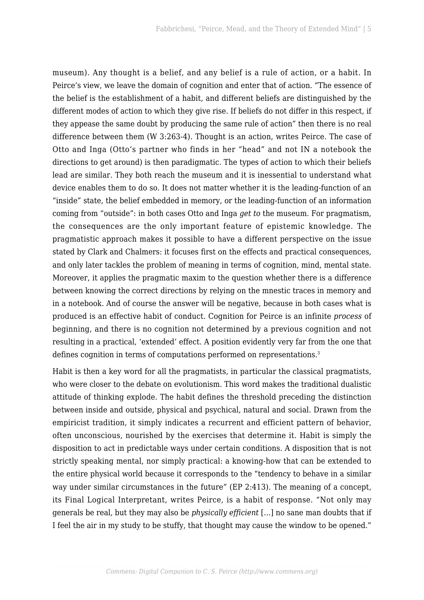museum). Any thought is a belief, and any belief is a rule of action, or a habit. In Peirce's view, we leave the domain of cognition and enter that of action. "The essence of the belief is the establishment of a habit, and different beliefs are distinguished by the different modes of action to which they give rise. If beliefs do not differ in this respect, if they appease the same doubt by producing the same rule of action" then there is no real difference between them (W 3:263-4). Thought is an action, writes Peirce. The case of Otto and Inga (Otto's partner who finds in her "head" and not IN a notebook the directions to get around) is then paradigmatic. The types of action to which their beliefs lead are similar. They both reach the museum and it is inessential to understand what device enables them to do so. It does not matter whether it is the leading-function of an "inside" state, the belief embedded in memory, or the leading-function of an information coming from "outside": in both cases Otto and Inga *get to* the museum. For pragmatism, the consequences are the only important feature of epistemic knowledge. The pragmatistic approach makes it possible to have a different perspective on the issue stated by Clark and Chalmers: it focuses first on the effects and practical consequences, and only later tackles the problem of meaning in terms of cognition, mind, mental state. Moreover, it applies the pragmatic maxim to the question whether there is a difference between knowing the correct directions by relying on the mnestic traces in memory and in a notebook. And of course the answer will be negative, because in both cases what is produced is an effective habit of conduct. Cognition for Peirce is an infinite *process* of beginning, and there is no cognition not determined by a previous cognition and not resulting in a practical, 'extended' effect. A position evidently very far from the one that defines cognition in terms of computations performed on representations.<sup>[3](#page--1-0)</sup>

Habit is then a key word for all the pragmatists, in particular the classical pragmatists, who were closer to the debate on evolutionism. This word makes the traditional dualistic attitude of thinking explode. The habit defines the threshold preceding the distinction between inside and outside, physical and psychical, natural and social. Drawn from the empiricist tradition, it simply indicates a recurrent and efficient pattern of behavior, often unconscious, nourished by the exercises that determine it. Habit is simply the disposition to act in predictable ways under certain conditions. A disposition that is not strictly speaking mental, nor simply practical: a knowing-how that can be extended to the entire physical world because it corresponds to the "tendency to behave in a similar way under similar circumstances in the future" (EP 2:413). The meaning of a concept, its Final Logical Interpretant, writes Peirce, is a habit of response. "Not only may generals be real, but they may also be *physically efficient* […] no sane man doubts that if I feel the air in my study to be stuffy, that thought may cause the window to be opened."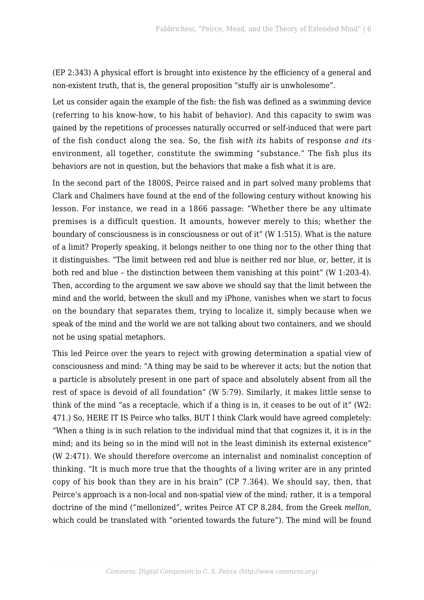(EP 2:343) A physical effort is brought into existence by the efficiency of a general and non-existent truth, that is, the general proposition "stuffy air is unwholesome".

Let us consider again the example of the fish: the fish was defined as a swimming device (referring to his know-how, to his habit of behavior). And this capacity to swim was gained by the repetitions of processes naturally occurred or self-induced that were part of the fish conduct along the sea. So, the fish *with its* habits of response *and its* environment, all together, constitute the swimming "substance." The fish plus its behaviors are not in question, but the behaviors that make a fish what it is are.

In the second part of the 1800S, Peirce raised and in part solved many problems that Clark and Chalmers have found at the end of the following century without knowing his lesson. For instance, we read in a 1866 passage: "Whether there be any ultimate premises is a difficult question. It amounts, however merely to this; whether the boundary of consciousness is in consciousness or out of it" (W 1:515). What is the nature of a limit? Properly speaking, it belongs neither to one thing nor to the other thing that it distinguishes. "The limit between red and blue is neither red nor blue, or, better, it is both red and blue – the distinction between them vanishing at this point" (W 1:203-4). Then, according to the argument we saw above we should say that the limit between the mind and the world, between the skull and my iPhone, vanishes when we start to focus on the boundary that separates them, trying to localize it, simply because when we speak of the mind and the world we are not talking about two containers, and we should not be using spatial metaphors.

This led Peirce over the years to reject with growing determination a spatial view of consciousness and mind: "A thing may be said to be wherever it acts; but the notion that a particle is absolutely present in one part of space and absolutely absent from all the rest of space is devoid of all foundation" (W 5:79). Similarly, it makes little sense to think of the mind "as a receptacle, which if a thing is in, it ceases to be out of it" (W2: 471.) So, HERE IT IS Peirce who talks, BUT I think Clark would have agreed completely: "When a thing is in such relation to the individual mind that that cognizes it, it is *in* the mind; and its being so in the mind will not in the least diminish its external existence" (W 2:471). We should therefore overcome an internalist and nominalist conception of thinking. "It is much more true that the thoughts of a living writer are in any printed copy of his book than they are in his brain" (CP 7.364). We should say, then, that Peirce's approach is a non-local and non-spatial view of the mind; rather, it is a temporal doctrine of the mind ("mellonized", writes Peirce AT CP 8.284, from the Greek *mellon*, which could be translated with "oriented towards the future"). The mind will be found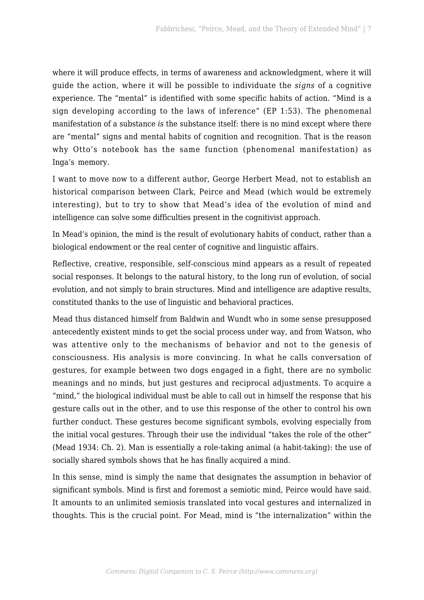where it will produce effects, in terms of awareness and acknowledgment, where it will guide the action, where it will be possible to individuate the *signs* of a cognitive experience. The "mental" is identified with some specific habits of action. "Mind is a sign developing according to the laws of inference" (EP 1:53). The phenomenal manifestation of a substance *is* the substance itself: there is no mind except where there are "mental" signs and mental habits of cognition and recognition. That is the reason why Otto's notebook has the same function (phenomenal manifestation) as Inga's memory.

I want to move now to a different author, George Herbert Mead, not to establish an historical comparison between Clark, Peirce and Mead (which would be extremely interesting), but to try to show that Mead's idea of the evolution of mind and intelligence can solve some difficulties present in the cognitivist approach.

In Mead's opinion, the mind is the result of evolutionary habits of conduct, rather than a biological endowment or the real center of cognitive and linguistic affairs.

Reflective, creative, responsible, self-conscious mind appears as a result of repeated social responses. It belongs to the natural history, to the long run of evolution, of social evolution, and not simply to brain structures. Mind and intelligence are adaptive results, constituted thanks to the use of linguistic and behavioral practices.

Mead thus distanced himself from Baldwin and Wundt who in some sense presupposed antecedently existent minds to get the social process under way, and from Watson, who was attentive only to the mechanisms of behavior and not to the genesis of consciousness. His analysis is more convincing. In what he calls conversation of gestures, for example between two dogs engaged in a fight, there are no symbolic meanings and no minds, but just gestures and reciprocal adjustments. To acquire a "mind," the biological individual must be able to call out in himself the response that his gesture calls out in the other, and to use this response of the other to control his own further conduct. These gestures become significant symbols, evolving especially from the initial vocal gestures. Through their use the individual "takes the role of the other" (Mead 1934: Ch. 2). Man is essentially a role-taking animal (a habit-taking): the use of socially shared symbols shows that he has finally acquired a mind.

In this sense, mind is simply the name that designates the assumption in behavior of significant symbols. Mind is first and foremost a semiotic mind, Peirce would have said. It amounts to an unlimited semiosis translated into vocal gestures and internalized in thoughts. This is the crucial point. For Mead, mind is "the internalization" within the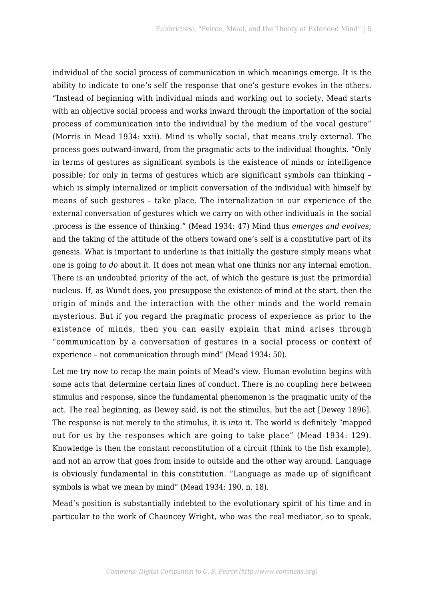individual of the social process of communication in which meanings emerge. It is the ability to indicate to one's self the response that one's gesture evokes in the others. "Instead of beginning with individual minds and working out to society, Mead starts with an objective social process and works inward through the importation of the social process of communication into the individual by the medium of the vocal gesture" (Morris in Mead 1934: xxii). Mind is wholly social, that means truly external. The process goes outward-inward, from the pragmatic acts to the individual thoughts. "Only in terms of gestures as significant symbols is the existence of minds or intelligence possible; for only in terms of gestures which are significant symbols can thinking – which is simply internalized or implicit conversation of the individual with himself by means of such gestures – take place. The internalization in our experience of the external conversation of gestures which we carry on with other individuals in the social .process is the essence of thinking." (Mead 1934: 47) Mind thus *emerges and evolves*; and the taking of the attitude of the others toward one's self is a constitutive part of its genesis. What is important to underline is that initially the gesture simply means what one is going *to do* about it. It does not mean what one thinks nor any internal emotion. There is an undoubted priority of the act, of which the gesture is just the primordial nucleus. If, as Wundt does, you presuppose the existence of mind at the start, then the origin of minds and the interaction with the other minds and the world remain mysterious. But if you regard the pragmatic process of experience as prior to the existence of minds, then you can easily explain that mind arises through "communication by a conversation of gestures in a social process or context of experience – not communication through mind" (Mead 1934: 50).

Let me try now to recap the main points of Mead's view. Human evolution begins with some acts that determine certain lines of conduct. There is no coupling here between stimulus and response, since the fundamental phenomenon is the pragmatic unity of the act. The real beginning, as Dewey said, is not the stimulus, but the act [Dewey 1896]. The response is not merely *to* the stimulus, it is *into* it. The world is definitely "mapped out for us by the responses which are going to take place" (Mead 1934: 129). Knowledge is then the constant reconstitution of a circuit (think to the fish example), and not an arrow that goes from inside to outside and the other way around. Language is obviously fundamental in this constitution. "Language as made up of significant symbols is what we mean by mind" (Mead 1934: 190, n. 18).

Mead's position is substantially indebted to the evolutionary spirit of his time and in particular to the work of Chauncey Wright, who was the real mediator, so to speak,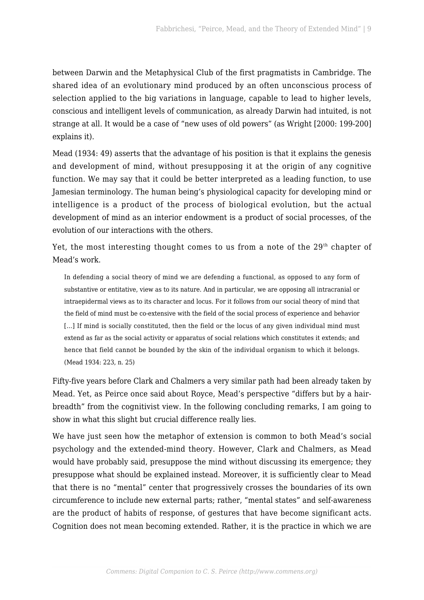between Darwin and the Metaphysical Club of the first pragmatists in Cambridge. The shared idea of an evolutionary mind produced by an often unconscious process of selection applied to the big variations in language, capable to lead to higher levels, conscious and intelligent levels of communication, as already Darwin had intuited, is not strange at all. It would be a case of "new uses of old powers" (as Wright [2000: 199-200] explains it).

Mead (1934: 49) asserts that the advantage of his position is that it explains the genesis and development of mind, without presupposing it at the origin of any cognitive function. We may say that it could be better interpreted as a leading function, to use Jamesian terminology. The human being's physiological capacity for developing mind or intelligence is a product of the process of biological evolution, but the actual development of mind as an interior endowment is a product of social processes, of the evolution of our interactions with the others.

Yet, the most interesting thought comes to us from a note of the  $29<sup>th</sup>$  chapter of Mead's work.

In defending a social theory of mind we are defending a functional, as opposed to any form of substantive or entitative, view as to its nature. And in particular, we are opposing all intracranial or intraepidermal views as to its character and locus. For it follows from our social theory of mind that the field of mind must be co-extensive with the field of the social process of experience and behavior [...] If mind is socially constituted, then the field or the locus of any given individual mind must extend as far as the social activity or apparatus of social relations which constitutes it extends; and hence that field cannot be bounded by the skin of the individual organism to which it belongs. (Mead 1934: 223, n. 25)

Fifty-five years before Clark and Chalmers a very similar path had been already taken by Mead. Yet, as Peirce once said about Royce, Mead's perspective "differs but by a hairbreadth" from the cognitivist view. In the following concluding remarks, I am going to show in what this slight but crucial difference really lies.

We have just seen how the metaphor of extension is common to both Mead's social psychology and the extended-mind theory. However, Clark and Chalmers, as Mead would have probably said, presuppose the mind without discussing its emergence; they presuppose what should be explained instead. Moreover, it is sufficiently clear to Mead that there is no "mental" center that progressively crosses the boundaries of its own circumference to include new external parts; rather, "mental states" and self-awareness are the product of habits of response, of gestures that have become significant acts. Cognition does not mean becoming extended. Rather, it is the practice in which we are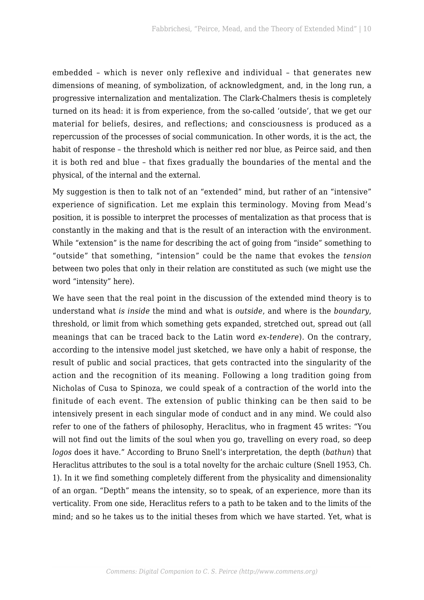embedded – which is never only reflexive and individual – that generates new dimensions of meaning, of symbolization, of acknowledgment, and, in the long run, a progressive internalization and mentalization. The Clark-Chalmers thesis is completely turned on its head: it is from experience, from the so-called 'outside', that we get our material for beliefs, desires, and reflections; and consciousness is produced as a repercussion of the processes of social communication. In other words, it is the act, the habit of response – the threshold which is neither red nor blue, as Peirce said, and then it is both red and blue – that fixes gradually the boundaries of the mental and the physical, of the internal and the external.

My suggestion is then to talk not of an "extended" mind, but rather of an "intensive" experience of signification. Let me explain this terminology. Moving from Mead's position, it is possible to interpret the processes of mentalization as that process that is constantly in the making and that is the result of an interaction with the environment. While "extension" is the name for describing the act of going from "inside" something to "outside" that something, "intension" could be the name that evokes the *tension* between two poles that only in their relation are constituted as such (we might use the word "intensity" here).

We have seen that the real point in the discussion of the extended mind theory is to understand what *is inside* the mind and what is *outside*, and where is the *boundary*, threshold, or limit from which something gets expanded, stretched out, spread out (all meanings that can be traced back to the Latin word *ex-tendere*). On the contrary, according to the intensive model just sketched, we have only a habit of response, the result of public and social practices, that gets contracted into the singularity of the action and the recognition of its meaning. Following a long tradition going from Nicholas of Cusa to Spinoza, we could speak of a contraction of the world into the finitude of each event. The extension of public thinking can be then said to be intensively present in each singular mode of conduct and in any mind. We could also refer to one of the fathers of philosophy, Heraclitus, who in fragment 45 writes: "You will not find out the limits of the soul when you go, travelling on every road, so deep *logos* does it have." According to Bruno Snell's interpretation, the depth (*bathun*) that Heraclitus attributes to the soul is a total novelty for the archaic culture (Snell 1953, Ch. 1). In it we find something completely different from the physicality and dimensionality of an organ. "Depth" means the intensity, so to speak, of an experience, more than its verticality. From one side, Heraclitus refers to a path to be taken and to the limits of the mind; and so he takes us to the initial theses from which we have started. Yet, what is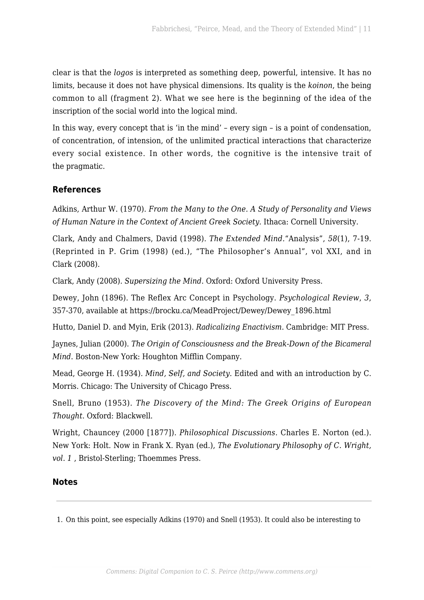clear is that the *logos* is interpreted as something deep, powerful, intensive. It has no limits, because it does not have physical dimensions. Its quality is the *koinon*, the being common to all (fragment 2). What we see here is the beginning of the idea of the inscription of the social world into the logical mind.

In this way, every concept that is 'in the mind' – every sign – is a point of condensation, of concentration, of intension, of the unlimited practical interactions that characterize every social existence. In other words, the cognitive is the intensive trait of the pragmatic.

## **References**

Adkins, Arthur W. (1970). *From the Many to the One. A Study of Personality and Views of Human Nature in the Context of Ancient Greek Society.* Ithaca: Cornell University.

Clark, Andy and Chalmers, David (1998). *The Extended Mind.*"Analysis", *58*(1), 7-19. (Reprinted in P. Grim (1998) (ed.), "The Philosopher's Annual", vol XXI, and in Clark (2008).

Clark, Andy (2008). *Supersizing the Mind*. Oxford: Oxford University Press.

Dewey, John (1896). The Reflex Arc Concept in Psychology. *Psychological Review*, *3*, 357-370, available at [https://brocku.ca/MeadProject/Dewey/Dewey\\_1896.html](https://brocku.ca/MeadProject/Dewey/Dewey_1896.html)

Hutto, Daniel D. and Myin, Erik (2013). *Radicalizing Enactivism*. Cambridge: MIT Press.

Jaynes, Julian (2000). *The Origin of Consciousness and the Break-Down of the Bicameral Mind*. Boston-New York: Houghton Mifflin Company.

Mead, George H. (1934). *Mind, Self, and Society*. Edited and with an introduction by C. Morris. Chicago: The University of Chicago Press.

Snell, Bruno (1953). *The Discovery of the Mind: The Greek Origins of European Thought*. Oxford: Blackwell.

Wright, Chauncey (2000 [1877]). *Philosophical Discussions*. Charles E. Norton (ed.). New York: Holt. Now in Frank X. Ryan (ed.), *The Evolutionary Philosophy of C. Wright, vol. 1* , Bristol-Sterling; Thoemmes Press.

### **Notes**

1. On this point, see especially Adkins (1970) and Snell (1953). It could also be interesting to